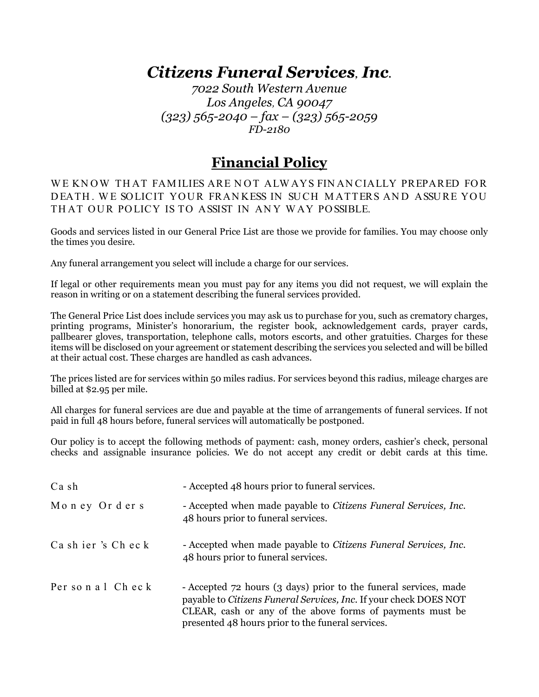# *Citizens Funeral Services, Inc.*

*7022 South Western Avenue Los Angeles, CA 90047 (323) 565-2040 – fax – (323) 565-2059 FD-2180*

## **Financial Policy**

WE KNOW THAT FAMILIES ARE NOT ALWAYS FINANCIALLY PREPARED FOR DEATH. WE SOLICIT YOUR FRANKESS IN SUCH MATTERS AND ASSURE YOU THAT OUR POLICY IS TO ASSIST IN ANY WAY POSSIBLE.

Goods and services listed in our General Price List are those we provide for families. You may choose only the times you desire.

Any funeral arrangement you select will include a charge for our services.

If legal or other requirements mean you must pay for any items you did not request, we will explain the reason in writing or on a statement describing the funeral services provided.

The General Price List does include services you may ask us to purchase for you, such as crematory charges, printing programs, Minister's honorarium, the register book, acknowledgement cards, prayer cards, pallbearer gloves, transportation, telephone calls, motors escorts, and other gratuities. Charges for these items will be disclosed on your agreement or statement describing the services you selected and will be billed at their actual cost. These charges are handled as cash advances.

The prices listed are for services within 50 miles radius. For services beyond this radius, mileage charges are billed at \$2.95 per mile.

All charges for funeral services are due and payable at the time of arrangements of funeral services. If not paid in full 48 hours before, funeral services will automatically be postponed.

Our policy is to accept the following methods of payment: cash, money orders, cashier's check, personal checks and assignable insurance policies. We do not accept any credit or debit cards at this time.

| Cash                 | - Accepted 48 hours prior to funeral services.                                                                                                                                                                                                          |
|----------------------|---------------------------------------------------------------------------------------------------------------------------------------------------------------------------------------------------------------------------------------------------------|
| Money Orders         | - Accepted when made payable to Citizens Funeral Services, Inc.<br>48 hours prior to funeral services.                                                                                                                                                  |
| Ca sh ier's Ch ec k  | - Accepted when made payable to Citizens Funeral Services, Inc.<br>48 hours prior to funeral services.                                                                                                                                                  |
| Per so n a 1 Ch ec k | - Accepted 72 hours (3 days) prior to the funeral services, made<br>payable to Citizens Funeral Services, Inc. If your check DOES NOT<br>CLEAR, cash or any of the above forms of payments must be<br>presented 48 hours prior to the funeral services. |